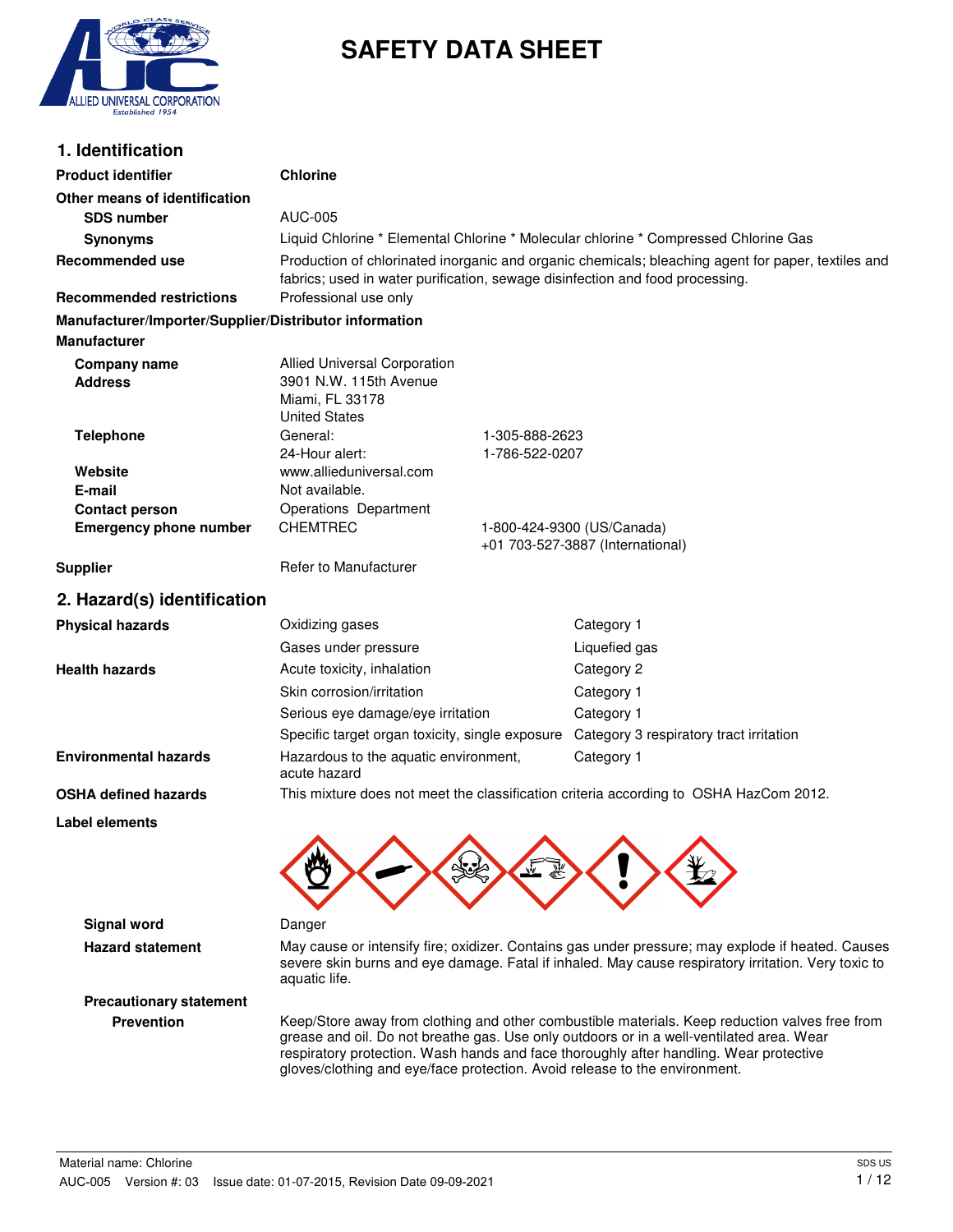

# **SAFETY DATA SHEET**

### **1. Identification**

| <b>Product identifier</b>                              | <b>Chlorine</b>                                                                                                                                                                     |                |                                                                                                                                                                                                          |
|--------------------------------------------------------|-------------------------------------------------------------------------------------------------------------------------------------------------------------------------------------|----------------|----------------------------------------------------------------------------------------------------------------------------------------------------------------------------------------------------------|
| Other means of identification                          |                                                                                                                                                                                     |                |                                                                                                                                                                                                          |
| <b>SDS number</b>                                      | <b>AUC-005</b>                                                                                                                                                                      |                |                                                                                                                                                                                                          |
| <b>Synonyms</b>                                        | Liquid Chlorine * Elemental Chlorine * Molecular chlorine * Compressed Chlorine Gas                                                                                                 |                |                                                                                                                                                                                                          |
| <b>Recommended use</b>                                 | Production of chlorinated inorganic and organic chemicals; bleaching agent for paper, textiles and<br>fabrics; used in water purification, sewage disinfection and food processing. |                |                                                                                                                                                                                                          |
| <b>Recommended restrictions</b>                        | Professional use only                                                                                                                                                               |                |                                                                                                                                                                                                          |
| Manufacturer/Importer/Supplier/Distributor information |                                                                                                                                                                                     |                |                                                                                                                                                                                                          |
| <b>Manufacturer</b>                                    |                                                                                                                                                                                     |                |                                                                                                                                                                                                          |
| <b>Company name</b><br><b>Address</b>                  | <b>Allied Universal Corporation</b><br>3901 N.W. 115th Avenue<br>Miami, FL 33178<br><b>United States</b>                                                                            |                |                                                                                                                                                                                                          |
| <b>Telephone</b>                                       | General:                                                                                                                                                                            | 1-305-888-2623 |                                                                                                                                                                                                          |
|                                                        | 24-Hour alert:<br>www.allieduniversal.com                                                                                                                                           | 1-786-522-0207 |                                                                                                                                                                                                          |
| Website<br>E-mail                                      | Not available.                                                                                                                                                                      |                |                                                                                                                                                                                                          |
| <b>Contact person</b>                                  | Operations Department                                                                                                                                                               |                |                                                                                                                                                                                                          |
| <b>Emergency phone number</b>                          | <b>CHEMTREC</b>                                                                                                                                                                     |                | 1-800-424-9300 (US/Canada)<br>+01 703-527-3887 (International)                                                                                                                                           |
| <b>Supplier</b>                                        | Refer to Manufacturer                                                                                                                                                               |                |                                                                                                                                                                                                          |
| 2. Hazard(s) identification                            |                                                                                                                                                                                     |                |                                                                                                                                                                                                          |
| <b>Physical hazards</b>                                | Oxidizing gases                                                                                                                                                                     |                | Category 1                                                                                                                                                                                               |
|                                                        | Gases under pressure                                                                                                                                                                |                | Liquefied gas                                                                                                                                                                                            |
| <b>Health hazards</b>                                  | Acute toxicity, inhalation                                                                                                                                                          |                | Category 2                                                                                                                                                                                               |
|                                                        | Skin corrosion/irritation                                                                                                                                                           |                | Category 1                                                                                                                                                                                               |
|                                                        | Serious eye damage/eye irritation                                                                                                                                                   |                | Category 1                                                                                                                                                                                               |
|                                                        | Specific target organ toxicity, single exposure                                                                                                                                     |                | Category 3 respiratory tract irritation                                                                                                                                                                  |
| <b>Environmental hazards</b>                           | Hazardous to the aquatic environment,<br>acute hazard                                                                                                                               |                | Category 1                                                                                                                                                                                               |
| <b>OSHA defined hazards</b>                            |                                                                                                                                                                                     |                | This mixture does not meet the classification criteria according to OSHA HazCom 2012.                                                                                                                    |
| Label elements                                         |                                                                                                                                                                                     |                |                                                                                                                                                                                                          |
|                                                        |                                                                                                                                                                                     |                |                                                                                                                                                                                                          |
| <b>Signal word</b>                                     | Danger                                                                                                                                                                              |                |                                                                                                                                                                                                          |
| <b>Hazard statement</b>                                | aquatic life.                                                                                                                                                                       |                | May cause or intensify fire; oxidizer. Contains gas under pressure; may explode if heated. Causes<br>severe skin burns and eye damage. Fatal if inhaled. May cause respiratory irritation. Very toxic to |
| <b>Precautionary statement</b>                         |                                                                                                                                                                                     |                |                                                                                                                                                                                                          |

Prevention **Keep/Store away from clothing and other combustible materials. Keep reduction valves free from** grease and oil. Do not breathe gas. Use only outdoors or in a well-ventilated area. Wear respiratory protection. Wash hands and face thoroughly after handling. Wear protective gloves/clothing and eye/face protection. Avoid release to the environment.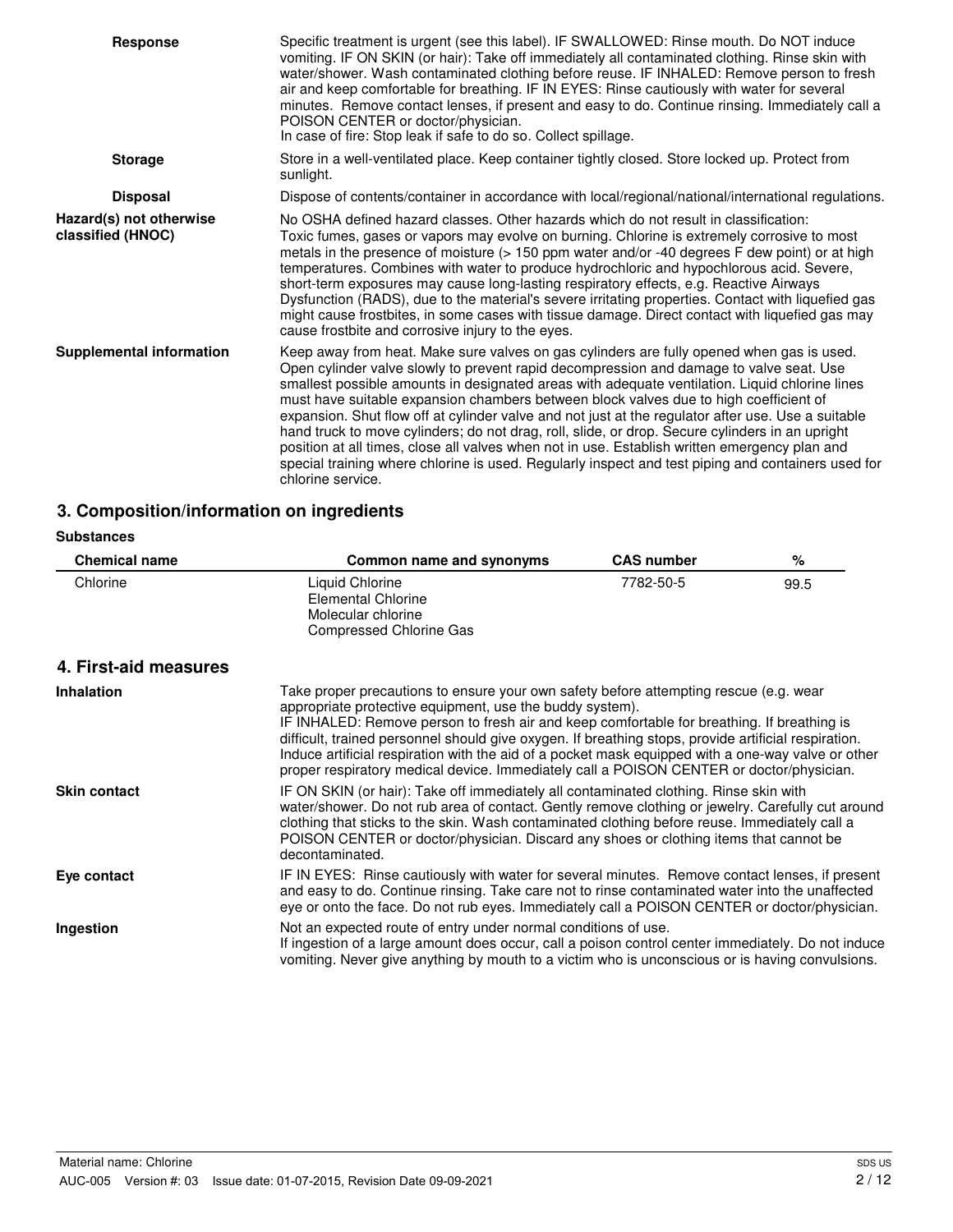| <b>Response</b>                              | Specific treatment is urgent (see this label). IF SWALLOWED: Rinse mouth. Do NOT induce<br>vomiting. IF ON SKIN (or hair): Take off immediately all contaminated clothing. Rinse skin with<br>water/shower. Wash contaminated clothing before reuse. IF INHALED: Remove person to fresh<br>air and keep comfortable for breathing. IF IN EYES: Rinse cautiously with water for several<br>minutes. Remove contact lenses, if present and easy to do. Continue rinsing. Immediately call a<br>POISON CENTER or doctor/physician.<br>In case of fire: Stop leak if safe to do so. Collect spillage.                                                                                                                                                                                                                    |
|----------------------------------------------|----------------------------------------------------------------------------------------------------------------------------------------------------------------------------------------------------------------------------------------------------------------------------------------------------------------------------------------------------------------------------------------------------------------------------------------------------------------------------------------------------------------------------------------------------------------------------------------------------------------------------------------------------------------------------------------------------------------------------------------------------------------------------------------------------------------------|
| <b>Storage</b>                               | Store in a well-ventilated place. Keep container tightly closed. Store locked up. Protect from<br>sunlight.                                                                                                                                                                                                                                                                                                                                                                                                                                                                                                                                                                                                                                                                                                          |
| <b>Disposal</b>                              | Dispose of contents/container in accordance with local/regional/national/international regulations.                                                                                                                                                                                                                                                                                                                                                                                                                                                                                                                                                                                                                                                                                                                  |
| Hazard(s) not otherwise<br>classified (HNOC) | No OSHA defined hazard classes. Other hazards which do not result in classification:<br>Toxic fumes, gases or vapors may evolve on burning. Chlorine is extremely corrosive to most<br>metals in the presence of moisture (> 150 ppm water and/or -40 degrees F dew point) or at high<br>temperatures. Combines with water to produce hydrochloric and hypochlorous acid. Severe,<br>short-term exposures may cause long-lasting respiratory effects, e.g. Reactive Airways<br>Dysfunction (RADS), due to the material's severe irritating properties. Contact with liquefied gas<br>might cause frostbites, in some cases with tissue damage. Direct contact with liquefied gas may<br>cause frostbite and corrosive injury to the eyes.                                                                            |
| <b>Supplemental information</b>              | Keep away from heat. Make sure valves on gas cylinders are fully opened when gas is used.<br>Open cylinder valve slowly to prevent rapid decompression and damage to valve seat. Use<br>smallest possible amounts in designated areas with adequate ventilation. Liquid chlorine lines<br>must have suitable expansion chambers between block valves due to high coefficient of<br>expansion. Shut flow off at cylinder valve and not just at the regulator after use. Use a suitable<br>hand truck to move cylinders; do not drag, roll, slide, or drop. Secure cylinders in an upright<br>position at all times, close all valves when not in use. Establish written emergency plan and<br>special training where chlorine is used. Regularly inspect and test piping and containers used for<br>chlorine service. |

## **3. Composition/information on ingredients**

#### **Substances**

| <b>Chemical name</b>  | Common name and synonyms                                                                                                                                                                                                                                                                                                                                                                                                                                                                                                                                  | <b>CAS number</b> | $\%$ |
|-----------------------|-----------------------------------------------------------------------------------------------------------------------------------------------------------------------------------------------------------------------------------------------------------------------------------------------------------------------------------------------------------------------------------------------------------------------------------------------------------------------------------------------------------------------------------------------------------|-------------------|------|
| Chlorine              | Liquid Chlorine<br><b>Elemental Chlorine</b><br>Molecular chlorine<br><b>Compressed Chlorine Gas</b>                                                                                                                                                                                                                                                                                                                                                                                                                                                      | 7782-50-5         | 99.5 |
| 4. First-aid measures |                                                                                                                                                                                                                                                                                                                                                                                                                                                                                                                                                           |                   |      |
| <b>Inhalation</b>     | Take proper precautions to ensure your own safety before attempting rescue (e.g. wear<br>appropriate protective equipment, use the buddy system).<br>IF INHALED: Remove person to fresh air and keep comfortable for breathing. If breathing is<br>difficult, trained personnel should give oxygen. If breathing stops, provide artificial respiration.<br>Induce artificial respiration with the aid of a pocket mask equipped with a one-way valve or other<br>proper respiratory medical device. Immediately call a POISON CENTER or doctor/physician. |                   |      |
| <b>Skin contact</b>   | IF ON SKIN (or hair): Take off immediately all contaminated clothing. Rinse skin with<br>water/shower. Do not rub area of contact. Gently remove clothing or jewelry. Carefully cut around<br>clothing that sticks to the skin. Wash contaminated clothing before reuse. Immediately call a<br>POISON CENTER or doctor/physician. Discard any shoes or clothing items that cannot be<br>decontaminated.                                                                                                                                                   |                   |      |
| Eye contact           | IF IN EYES: Rinse cautiously with water for several minutes. Remove contact lenses, if present<br>and easy to do. Continue rinsing. Take care not to rinse contaminated water into the unaffected<br>eye or onto the face. Do not rub eyes. Immediately call a POISON CENTER or doctor/physician.                                                                                                                                                                                                                                                         |                   |      |
| Ingestion             | Not an expected route of entry under normal conditions of use.<br>If ingestion of a large amount does occur, call a poison control center immediately. Do not induce<br>vomiting. Never give anything by mouth to a victim who is unconscious or is having convulsions.                                                                                                                                                                                                                                                                                   |                   |      |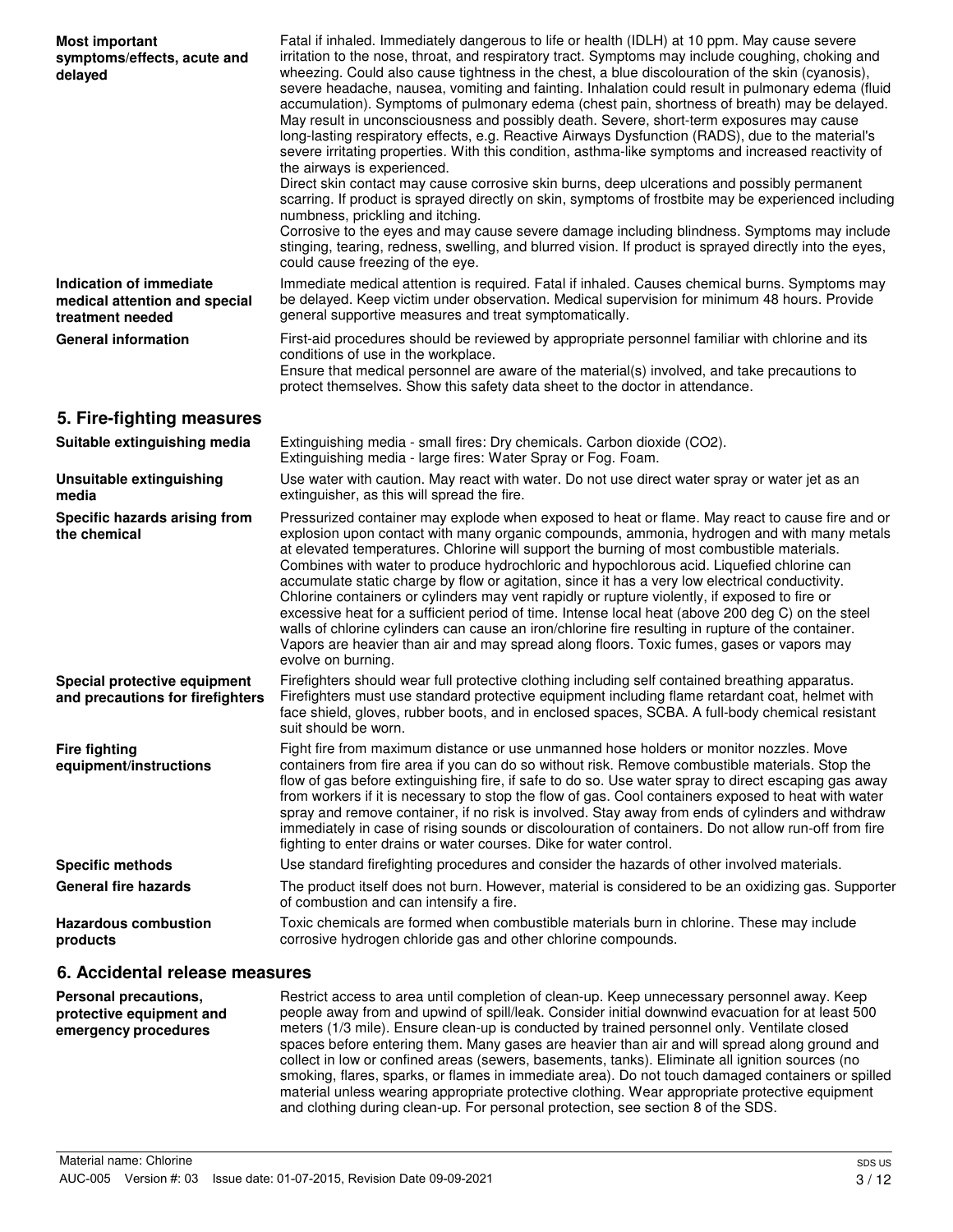| <b>Most important</b><br>symptoms/effects, acute and<br>delayed              | Fatal if inhaled. Immediately dangerous to life or health (IDLH) at 10 ppm. May cause severe<br>irritation to the nose, throat, and respiratory tract. Symptoms may include coughing, choking and<br>wheezing. Could also cause tightness in the chest, a blue discolouration of the skin (cyanosis),<br>severe headache, nausea, vomiting and fainting. Inhalation could result in pulmonary edema (fluid<br>accumulation). Symptoms of pulmonary edema (chest pain, shortness of breath) may be delayed.<br>May result in unconsciousness and possibly death. Severe, short-term exposures may cause<br>long-lasting respiratory effects, e.g. Reactive Airways Dysfunction (RADS), due to the material's<br>severe irritating properties. With this condition, asthma-like symptoms and increased reactivity of<br>the airways is experienced.<br>Direct skin contact may cause corrosive skin burns, deep ulcerations and possibly permanent<br>scarring. If product is sprayed directly on skin, symptoms of frostbite may be experienced including<br>numbness, prickling and itching.<br>Corrosive to the eyes and may cause severe damage including blindness. Symptoms may include<br>stinging, tearing, redness, swelling, and blurred vision. If product is sprayed directly into the eyes,<br>could cause freezing of the eye. |
|------------------------------------------------------------------------------|--------------------------------------------------------------------------------------------------------------------------------------------------------------------------------------------------------------------------------------------------------------------------------------------------------------------------------------------------------------------------------------------------------------------------------------------------------------------------------------------------------------------------------------------------------------------------------------------------------------------------------------------------------------------------------------------------------------------------------------------------------------------------------------------------------------------------------------------------------------------------------------------------------------------------------------------------------------------------------------------------------------------------------------------------------------------------------------------------------------------------------------------------------------------------------------------------------------------------------------------------------------------------------------------------------------------------------------------|
| Indication of immediate<br>medical attention and special<br>treatment needed | Immediate medical attention is required. Fatal if inhaled. Causes chemical burns. Symptoms may<br>be delayed. Keep victim under observation. Medical supervision for minimum 48 hours. Provide<br>general supportive measures and treat symptomatically.                                                                                                                                                                                                                                                                                                                                                                                                                                                                                                                                                                                                                                                                                                                                                                                                                                                                                                                                                                                                                                                                                   |
| <b>General information</b>                                                   | First-aid procedures should be reviewed by appropriate personnel familiar with chlorine and its<br>conditions of use in the workplace.<br>Ensure that medical personnel are aware of the material(s) involved, and take precautions to<br>protect themselves. Show this safety data sheet to the doctor in attendance.                                                                                                                                                                                                                                                                                                                                                                                                                                                                                                                                                                                                                                                                                                                                                                                                                                                                                                                                                                                                                     |
| 5. Fire-fighting measures                                                    |                                                                                                                                                                                                                                                                                                                                                                                                                                                                                                                                                                                                                                                                                                                                                                                                                                                                                                                                                                                                                                                                                                                                                                                                                                                                                                                                            |
| Suitable extinguishing media                                                 | Extinguishing media - small fires: Dry chemicals. Carbon dioxide (CO2).<br>Extinguishing media - large fires: Water Spray or Fog. Foam.                                                                                                                                                                                                                                                                                                                                                                                                                                                                                                                                                                                                                                                                                                                                                                                                                                                                                                                                                                                                                                                                                                                                                                                                    |
| Unsuitable extinguishing<br>media                                            | Use water with caution. May react with water. Do not use direct water spray or water jet as an<br>extinguisher, as this will spread the fire.                                                                                                                                                                                                                                                                                                                                                                                                                                                                                                                                                                                                                                                                                                                                                                                                                                                                                                                                                                                                                                                                                                                                                                                              |
| Specific hazards arising from<br>the chemical                                | Pressurized container may explode when exposed to heat or flame. May react to cause fire and or<br>explosion upon contact with many organic compounds, ammonia, hydrogen and with many metals<br>at elevated temperatures. Chlorine will support the burning of most combustible materials.<br>Combines with water to produce hydrochloric and hypochlorous acid. Liquefied chlorine can<br>accumulate static charge by flow or agitation, since it has a very low electrical conductivity.<br>Chlorine containers or cylinders may vent rapidly or rupture violently, if exposed to fire or<br>excessive heat for a sufficient period of time. Intense local heat (above 200 deg C) on the steel<br>walls of chlorine cylinders can cause an iron/chlorine fire resulting in rupture of the container.<br>Vapors are heavier than air and may spread along floors. Toxic fumes, gases or vapors may<br>evolve on burning.                                                                                                                                                                                                                                                                                                                                                                                                                 |
| Special protective equipment<br>and precautions for firefighters             | Firefighters should wear full protective clothing including self contained breathing apparatus.<br>Firefighters must use standard protective equipment including flame retardant coat, helmet with<br>face shield, gloves, rubber boots, and in enclosed spaces, SCBA. A full-body chemical resistant<br>suit should be worn.                                                                                                                                                                                                                                                                                                                                                                                                                                                                                                                                                                                                                                                                                                                                                                                                                                                                                                                                                                                                              |
| <b>Fire fighting</b><br>equipment/instructions                               | Fight fire from maximum distance or use unmanned hose holders or monitor nozzles. Move<br>containers from fire area if you can do so without risk. Remove combustible materials. Stop the<br>flow of gas before extinguishing fire, if safe to do so. Use water spray to direct escaping gas away<br>from workers if it is necessary to stop the flow of gas. Cool containers exposed to heat with water<br>spray and remove container, if no risk is involved. Stay away from ends of cylinders and withdraw<br>immediately in case of rising sounds or discolouration of containers. Do not allow run-off from fire<br>fighting to enter drains or water courses. Dike for water control.                                                                                                                                                                                                                                                                                                                                                                                                                                                                                                                                                                                                                                                |
| <b>Specific methods</b>                                                      | Use standard firefighting procedures and consider the hazards of other involved materials.                                                                                                                                                                                                                                                                                                                                                                                                                                                                                                                                                                                                                                                                                                                                                                                                                                                                                                                                                                                                                                                                                                                                                                                                                                                 |
| <b>General fire hazards</b>                                                  | The product itself does not burn. However, material is considered to be an oxidizing gas. Supporter<br>of combustion and can intensify a fire.                                                                                                                                                                                                                                                                                                                                                                                                                                                                                                                                                                                                                                                                                                                                                                                                                                                                                                                                                                                                                                                                                                                                                                                             |
| <b>Hazardous combustion</b><br>products                                      | Toxic chemicals are formed when combustible materials burn in chlorine. These may include<br>corrosive hydrogen chloride gas and other chlorine compounds.                                                                                                                                                                                                                                                                                                                                                                                                                                                                                                                                                                                                                                                                                                                                                                                                                                                                                                                                                                                                                                                                                                                                                                                 |
| 6. Accidental release measures                                               |                                                                                                                                                                                                                                                                                                                                                                                                                                                                                                                                                                                                                                                                                                                                                                                                                                                                                                                                                                                                                                                                                                                                                                                                                                                                                                                                            |
|                                                                              | Restrict access to area until completion of clean-up Keep unpecessary personnel away Keep                                                                                                                                                                                                                                                                                                                                                                                                                                                                                                                                                                                                                                                                                                                                                                                                                                                                                                                                                                                                                                                                                                                                                                                                                                                  |

| <b>Personal precautions,</b><br>protective equipment and<br>emergency procedures | Restrict access to area until completion of clean-up. Keep unnecessary personnel away. Keep<br>people away from and upwind of spill/leak. Consider initial downwind evacuation for at least 500<br>meters (1/3 mile). Ensure clean-up is conducted by trained personnel only. Ventilate closed<br>spaces before entering them. Many gases are heavier than air and will spread along ground and<br>collect in low or confined areas (sewers, basements, tanks). Eliminate all ignition sources (no<br>smoking, flares, sparks, or flames in immediate area). Do not touch damaged containers or spilled |
|----------------------------------------------------------------------------------|---------------------------------------------------------------------------------------------------------------------------------------------------------------------------------------------------------------------------------------------------------------------------------------------------------------------------------------------------------------------------------------------------------------------------------------------------------------------------------------------------------------------------------------------------------------------------------------------------------|
|                                                                                  | material unless wearing appropriate protective clothing. Wear appropriate protective equipment<br>and clothing during clean-up. For personal protection, see section 8 of the SDS.                                                                                                                                                                                                                                                                                                                                                                                                                      |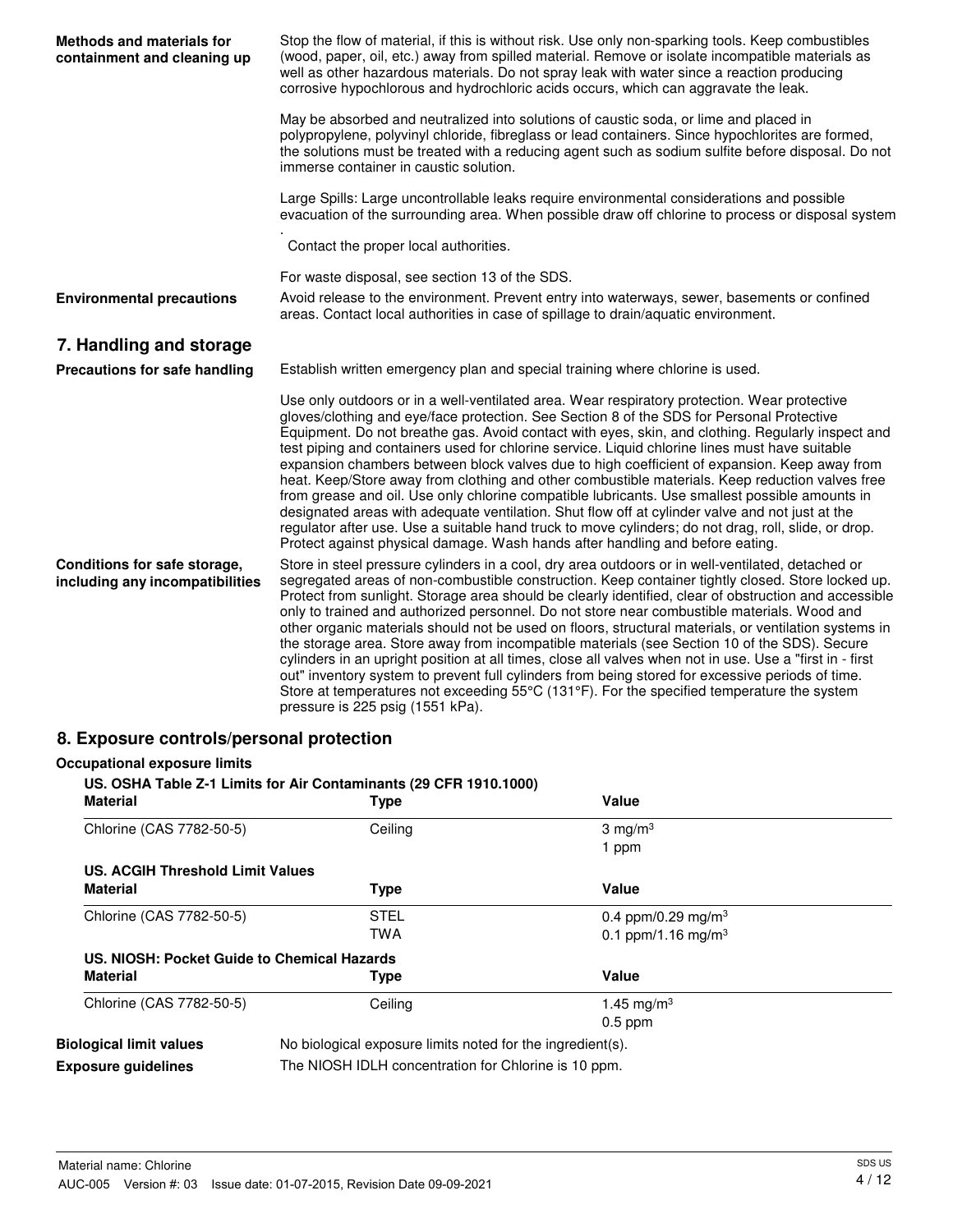| <b>Methods and materials for</b><br>containment and cleaning up | Stop the flow of material, if this is without risk. Use only non-sparking tools. Keep combustibles<br>(wood, paper, oil, etc.) away from spilled material. Remove or isolate incompatible materials as<br>well as other hazardous materials. Do not spray leak with water since a reaction producing<br>corrosive hypochlorous and hydrochloric acids occurs, which can aggravate the leak.                                                                                                                                                                                                                                                                                                                                                                                                                                                                                                                                                                                                       |
|-----------------------------------------------------------------|---------------------------------------------------------------------------------------------------------------------------------------------------------------------------------------------------------------------------------------------------------------------------------------------------------------------------------------------------------------------------------------------------------------------------------------------------------------------------------------------------------------------------------------------------------------------------------------------------------------------------------------------------------------------------------------------------------------------------------------------------------------------------------------------------------------------------------------------------------------------------------------------------------------------------------------------------------------------------------------------------|
|                                                                 | May be absorbed and neutralized into solutions of caustic soda, or lime and placed in<br>polypropylene, polyvinyl chloride, fibreglass or lead containers. Since hypochlorites are formed,<br>the solutions must be treated with a reducing agent such as sodium sulfite before disposal. Do not<br>immerse container in caustic solution.                                                                                                                                                                                                                                                                                                                                                                                                                                                                                                                                                                                                                                                        |
|                                                                 | Large Spills: Large uncontrollable leaks require environmental considerations and possible<br>evacuation of the surrounding area. When possible draw off chlorine to process or disposal system                                                                                                                                                                                                                                                                                                                                                                                                                                                                                                                                                                                                                                                                                                                                                                                                   |
|                                                                 | Contact the proper local authorities.                                                                                                                                                                                                                                                                                                                                                                                                                                                                                                                                                                                                                                                                                                                                                                                                                                                                                                                                                             |
|                                                                 | For waste disposal, see section 13 of the SDS.                                                                                                                                                                                                                                                                                                                                                                                                                                                                                                                                                                                                                                                                                                                                                                                                                                                                                                                                                    |
| <b>Environmental precautions</b>                                | Avoid release to the environment. Prevent entry into waterways, sewer, basements or confined<br>areas. Contact local authorities in case of spillage to drain/aquatic environment.                                                                                                                                                                                                                                                                                                                                                                                                                                                                                                                                                                                                                                                                                                                                                                                                                |
| 7. Handling and storage                                         |                                                                                                                                                                                                                                                                                                                                                                                                                                                                                                                                                                                                                                                                                                                                                                                                                                                                                                                                                                                                   |
| Precautions for safe handling                                   | Establish written emergency plan and special training where chlorine is used.                                                                                                                                                                                                                                                                                                                                                                                                                                                                                                                                                                                                                                                                                                                                                                                                                                                                                                                     |
|                                                                 | Use only outdoors or in a well-ventilated area. Wear respiratory protection. Wear protective<br>gloves/clothing and eye/face protection. See Section 8 of the SDS for Personal Protective<br>Equipment. Do not breathe gas. Avoid contact with eyes, skin, and clothing. Regularly inspect and<br>test piping and containers used for chlorine service. Liquid chlorine lines must have suitable<br>expansion chambers between block valves due to high coefficient of expansion. Keep away from<br>heat. Keep/Store away from clothing and other combustible materials. Keep reduction valves free<br>from grease and oil. Use only chlorine compatible lubricants. Use smallest possible amounts in<br>designated areas with adequate ventilation. Shut flow off at cylinder valve and not just at the<br>regulator after use. Use a suitable hand truck to move cylinders; do not drag, roll, slide, or drop.<br>Protect against physical damage. Wash hands after handling and before eating. |
| Conditions for safe storage,<br>including any incompatibilities | Store in steel pressure cylinders in a cool, dry area outdoors or in well-ventilated, detached or<br>segregated areas of non-combustible construction. Keep container tightly closed. Store locked up.<br>Protect from sunlight. Storage area should be clearly identified, clear of obstruction and accessible<br>only to trained and authorized personnel. Do not store near combustible materials. Wood and<br>other organic materials should not be used on floors, structural materials, or ventilation systems in<br>the storage area. Store away from incompatible materials (see Section 10 of the SDS). Secure<br>cylinders in an upright position at all times, close all valves when not in use. Use a "first in - first<br>out" inventory system to prevent full cylinders from being stored for excessive periods of time.<br>Store at temperatures not exceeding 55°C (131°F). For the specified temperature the system<br>pressure is 225 psig (1551 kPa).                         |
|                                                                 |                                                                                                                                                                                                                                                                                                                                                                                                                                                                                                                                                                                                                                                                                                                                                                                                                                                                                                                                                                                                   |

## **8. Exposure controls/personal protection**

| <b>Occupational exposure limits</b><br><b>Material</b> | US. OSHA Table Z-1 Limits for Air Contaminants (29 CFR 1910.1000)<br><b>Type</b> | Value                          |  |
|--------------------------------------------------------|----------------------------------------------------------------------------------|--------------------------------|--|
| Chlorine (CAS 7782-50-5)                               | Ceiling                                                                          | 3 mg/m <sup>3</sup><br>1 ppm   |  |
| <b>US. ACGIH Threshold Limit Values</b>                |                                                                                  |                                |  |
| <b>Material</b>                                        | <b>Type</b>                                                                      | Value                          |  |
| Chlorine (CAS 7782-50-5)                               | STEL                                                                             | 0.4 ppm/0.29 mg/m <sup>3</sup> |  |
|                                                        | TWA                                                                              | 0.1 ppm/1.16 mg/m <sup>3</sup> |  |
| US. NIOSH: Pocket Guide to Chemical Hazards            |                                                                                  |                                |  |
| <b>Material</b>                                        | Type                                                                             | Value                          |  |
| Chlorine (CAS 7782-50-5)                               | Ceiling                                                                          | 1.45 mg/m <sup>3</sup>         |  |
|                                                        |                                                                                  | $0.5$ ppm                      |  |
| <b>Biological limit values</b>                         | No biological exposure limits noted for the ingredient(s).                       |                                |  |
| <b>Exposure quidelines</b>                             | The NIOSH IDLH concentration for Chlorine is 10 ppm.                             |                                |  |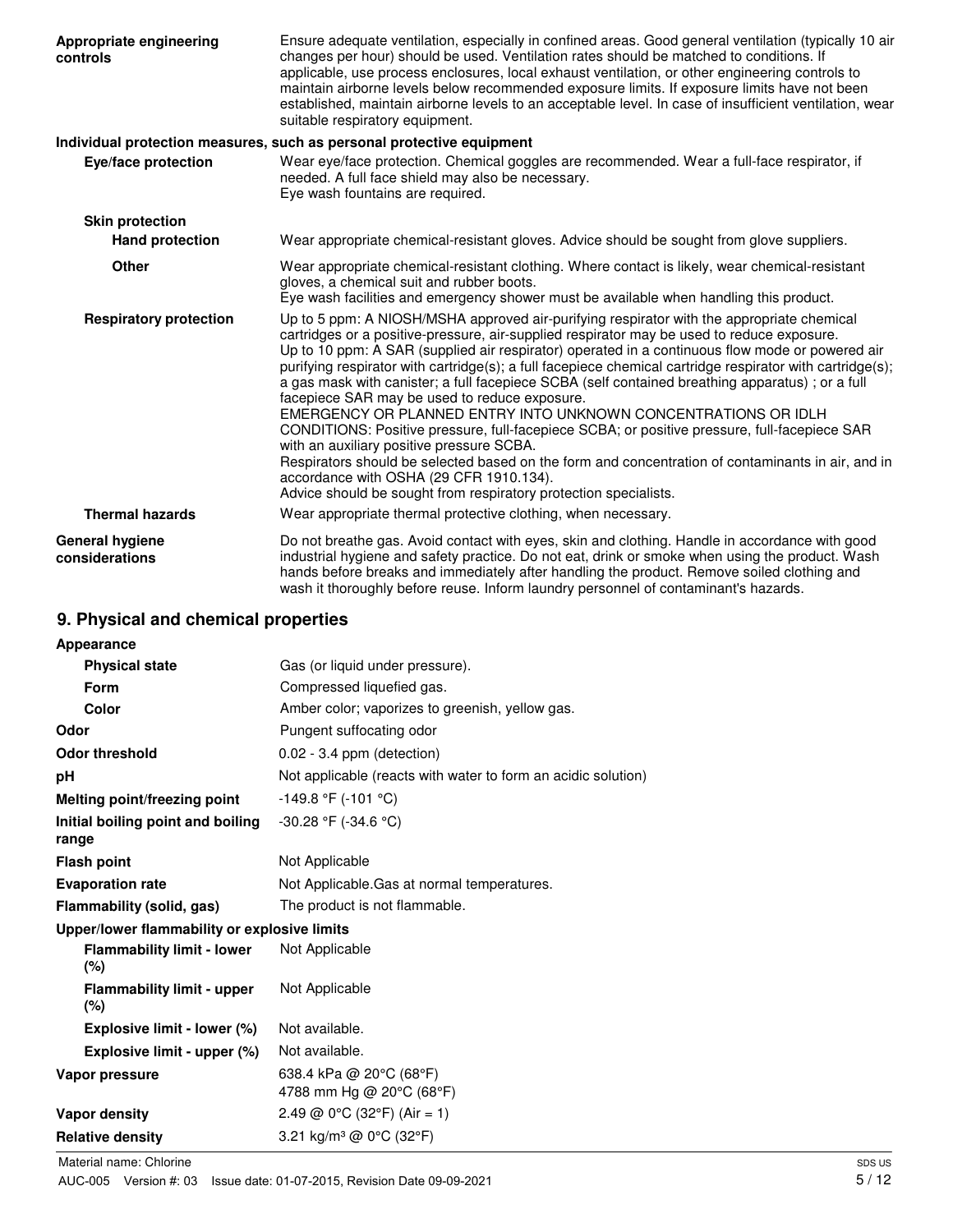| Appropriate engineering<br>controls      | Ensure adequate ventilation, especially in confined areas. Good general ventilation (typically 10 air<br>changes per hour) should be used. Ventilation rates should be matched to conditions. If<br>applicable, use process enclosures, local exhaust ventilation, or other engineering controls to<br>maintain airborne levels below recommended exposure limits. If exposure limits have not been<br>established, maintain airborne levels to an acceptable level. In case of insufficient ventilation, wear<br>suitable respiratory equipment.                                                                                                                                                                                                                                                                                                                                                                                                                                              |
|------------------------------------------|------------------------------------------------------------------------------------------------------------------------------------------------------------------------------------------------------------------------------------------------------------------------------------------------------------------------------------------------------------------------------------------------------------------------------------------------------------------------------------------------------------------------------------------------------------------------------------------------------------------------------------------------------------------------------------------------------------------------------------------------------------------------------------------------------------------------------------------------------------------------------------------------------------------------------------------------------------------------------------------------|
|                                          | Individual protection measures, such as personal protective equipment                                                                                                                                                                                                                                                                                                                                                                                                                                                                                                                                                                                                                                                                                                                                                                                                                                                                                                                          |
| Eye/face protection                      | Wear eye/face protection. Chemical goggles are recommended. Wear a full-face respirator, if<br>needed. A full face shield may also be necessary.<br>Eye wash fountains are required.                                                                                                                                                                                                                                                                                                                                                                                                                                                                                                                                                                                                                                                                                                                                                                                                           |
| <b>Skin protection</b>                   |                                                                                                                                                                                                                                                                                                                                                                                                                                                                                                                                                                                                                                                                                                                                                                                                                                                                                                                                                                                                |
| <b>Hand protection</b>                   | Wear appropriate chemical-resistant gloves. Advice should be sought from glove suppliers.                                                                                                                                                                                                                                                                                                                                                                                                                                                                                                                                                                                                                                                                                                                                                                                                                                                                                                      |
| <b>Other</b>                             | Wear appropriate chemical-resistant clothing. Where contact is likely, wear chemical-resistant<br>gloves, a chemical suit and rubber boots.<br>Eye wash facilities and emergency shower must be available when handling this product.                                                                                                                                                                                                                                                                                                                                                                                                                                                                                                                                                                                                                                                                                                                                                          |
| <b>Respiratory protection</b>            | Up to 5 ppm: A NIOSH/MSHA approved air-purifying respirator with the appropriate chemical<br>cartridges or a positive-pressure, air-supplied respirator may be used to reduce exposure.<br>Up to 10 ppm: A SAR (supplied air respirator) operated in a continuous flow mode or powered air<br>purifying respirator with cartridge(s); a full facepiece chemical cartridge respirator with cartridge(s);<br>a gas mask with canister; a full facepiece SCBA (self contained breathing apparatus); or a full<br>facepiece SAR may be used to reduce exposure.<br>EMERGENCY OR PLANNED ENTRY INTO UNKNOWN CONCENTRATIONS OR IDLH<br>CONDITIONS: Positive pressure, full-facepiece SCBA; or positive pressure, full-facepiece SAR<br>with an auxiliary positive pressure SCBA.<br>Respirators should be selected based on the form and concentration of contaminants in air, and in<br>accordance with OSHA (29 CFR 1910.134).<br>Advice should be sought from respiratory protection specialists. |
| <b>Thermal hazards</b>                   | Wear appropriate thermal protective clothing, when necessary.                                                                                                                                                                                                                                                                                                                                                                                                                                                                                                                                                                                                                                                                                                                                                                                                                                                                                                                                  |
| <b>General hygiene</b><br>considerations | Do not breathe gas. Avoid contact with eyes, skin and clothing. Handle in accordance with good<br>industrial hygiene and safety practice. Do not eat, drink or smoke when using the product. Wash<br>hands before breaks and immediately after handling the product. Remove soiled clothing and<br>wash it thoroughly before reuse. Inform laundry personnel of contaminant's hazards.                                                                                                                                                                                                                                                                                                                                                                                                                                                                                                                                                                                                         |

## **9. Physical and chemical properties**

| Appearance                                   |                                                               |
|----------------------------------------------|---------------------------------------------------------------|
| <b>Physical state</b>                        | Gas (or liquid under pressure).                               |
| Form                                         | Compressed liquefied gas.                                     |
| Color                                        | Amber color; vaporizes to greenish, yellow gas.               |
| Odor                                         | Pungent suffocating odor                                      |
| <b>Odor threshold</b>                        | $0.02 - 3.4$ ppm (detection)                                  |
| рH                                           | Not applicable (reacts with water to form an acidic solution) |
| Melting point/freezing point                 | $-149.8$ °F ( $-101$ °C)                                      |
| Initial boiling point and boiling            | -30.28 °F (-34.6 °C)                                          |
| range                                        |                                                               |
| <b>Flash point</b>                           | Not Applicable                                                |
| <b>Evaporation rate</b>                      | Not Applicable. Gas at normal temperatures.                   |
| <b>Flammability (solid, gas)</b>             | The product is not flammable.                                 |
| Upper/lower flammability or explosive limits |                                                               |
| <b>Flammability limit - lower</b><br>(%)     | Not Applicable                                                |
| <b>Flammability limit - upper</b><br>(%)     | Not Applicable                                                |
| Explosive limit - lower (%)                  | Not available.                                                |
| Explosive limit - upper (%)                  | Not available.                                                |
| Vapor pressure                               | 638.4 kPa @ 20°C (68°F)<br>4788 mm Hg @ 20°C (68°F)           |
| <b>Vapor density</b>                         | 2.49 @ $0^{\circ}$ C (32 $^{\circ}$ F) (Air = 1)              |
| <b>Relative density</b>                      | 3.21 kg/m <sup>3</sup> @ 0°C (32°F)                           |

Material name: Chlorine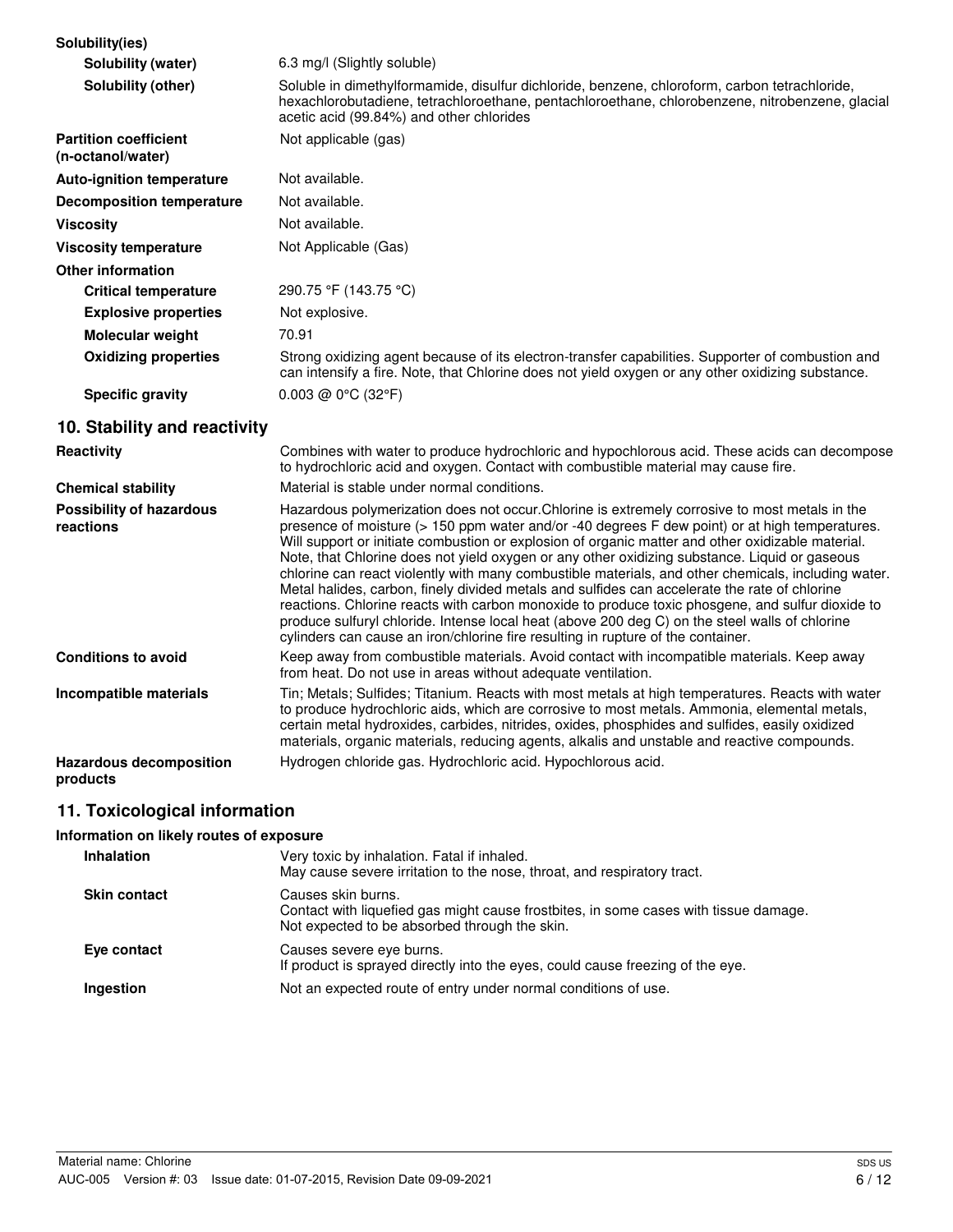| Solubility(ies)                                   |                                                                                                                                                                                                                                                                                                                                                                                                                                                                                                                                                                                                                                                                                                                                                                                                                                                                                                          |
|---------------------------------------------------|----------------------------------------------------------------------------------------------------------------------------------------------------------------------------------------------------------------------------------------------------------------------------------------------------------------------------------------------------------------------------------------------------------------------------------------------------------------------------------------------------------------------------------------------------------------------------------------------------------------------------------------------------------------------------------------------------------------------------------------------------------------------------------------------------------------------------------------------------------------------------------------------------------|
| <b>Solubility (water)</b>                         | 6.3 mg/l (Slightly soluble)                                                                                                                                                                                                                                                                                                                                                                                                                                                                                                                                                                                                                                                                                                                                                                                                                                                                              |
| Solubility (other)                                | Soluble in dimethylformamide, disulfur dichloride, benzene, chloroform, carbon tetrachloride,<br>hexachlorobutadiene, tetrachloroethane, pentachloroethane, chlorobenzene, nitrobenzene, glacial<br>acetic acid (99.84%) and other chlorides                                                                                                                                                                                                                                                                                                                                                                                                                                                                                                                                                                                                                                                             |
| <b>Partition coefficient</b><br>(n-octanol/water) | Not applicable (gas)                                                                                                                                                                                                                                                                                                                                                                                                                                                                                                                                                                                                                                                                                                                                                                                                                                                                                     |
| <b>Auto-ignition temperature</b>                  | Not available.                                                                                                                                                                                                                                                                                                                                                                                                                                                                                                                                                                                                                                                                                                                                                                                                                                                                                           |
| <b>Decomposition temperature</b>                  | Not available.                                                                                                                                                                                                                                                                                                                                                                                                                                                                                                                                                                                                                                                                                                                                                                                                                                                                                           |
| <b>Viscosity</b>                                  | Not available.                                                                                                                                                                                                                                                                                                                                                                                                                                                                                                                                                                                                                                                                                                                                                                                                                                                                                           |
| <b>Viscosity temperature</b>                      | Not Applicable (Gas)                                                                                                                                                                                                                                                                                                                                                                                                                                                                                                                                                                                                                                                                                                                                                                                                                                                                                     |
| <b>Other information</b>                          |                                                                                                                                                                                                                                                                                                                                                                                                                                                                                                                                                                                                                                                                                                                                                                                                                                                                                                          |
| <b>Critical temperature</b>                       | 290.75 °F (143.75 °C)                                                                                                                                                                                                                                                                                                                                                                                                                                                                                                                                                                                                                                                                                                                                                                                                                                                                                    |
| <b>Explosive properties</b>                       | Not explosive.                                                                                                                                                                                                                                                                                                                                                                                                                                                                                                                                                                                                                                                                                                                                                                                                                                                                                           |
| Molecular weight                                  | 70.91                                                                                                                                                                                                                                                                                                                                                                                                                                                                                                                                                                                                                                                                                                                                                                                                                                                                                                    |
| <b>Oxidizing properties</b>                       | Strong oxidizing agent because of its electron-transfer capabilities. Supporter of combustion and<br>can intensify a fire. Note, that Chlorine does not yield oxygen or any other oxidizing substance.                                                                                                                                                                                                                                                                                                                                                                                                                                                                                                                                                                                                                                                                                                   |
| <b>Specific gravity</b>                           | 0.003 @ 0°C (32°F)                                                                                                                                                                                                                                                                                                                                                                                                                                                                                                                                                                                                                                                                                                                                                                                                                                                                                       |
| 10. Stability and reactivity                      |                                                                                                                                                                                                                                                                                                                                                                                                                                                                                                                                                                                                                                                                                                                                                                                                                                                                                                          |
| Reactivity                                        | Combines with water to produce hydrochloric and hypochlorous acid. These acids can decompose<br>to hydrochloric acid and oxygen. Contact with combustible material may cause fire.                                                                                                                                                                                                                                                                                                                                                                                                                                                                                                                                                                                                                                                                                                                       |
| <b>Chemical stability</b>                         | Material is stable under normal conditions.                                                                                                                                                                                                                                                                                                                                                                                                                                                                                                                                                                                                                                                                                                                                                                                                                                                              |
| <b>Possibility of hazardous</b><br>reactions      | Hazardous polymerization does not occur. Chlorine is extremely corrosive to most metals in the<br>presence of moisture (> 150 ppm water and/or -40 degrees F dew point) or at high temperatures.<br>Will support or initiate combustion or explosion of organic matter and other oxidizable material.<br>Note, that Chlorine does not yield oxygen or any other oxidizing substance. Liquid or gaseous<br>chlorine can react violently with many combustible materials, and other chemicals, including water.<br>Metal halides, carbon, finely divided metals and sulfides can accelerate the rate of chlorine<br>reactions. Chlorine reacts with carbon monoxide to produce toxic phosgene, and sulfur dioxide to<br>produce sulfuryl chloride. Intense local heat (above 200 deg C) on the steel walls of chlorine<br>cylinders can cause an iron/chlorine fire resulting in rupture of the container. |
| <b>Conditions to avoid</b>                        | Keep away from combustible materials. Avoid contact with incompatible materials. Keep away<br>from heat. Do not use in areas without adequate ventilation.                                                                                                                                                                                                                                                                                                                                                                                                                                                                                                                                                                                                                                                                                                                                               |
| Incompatible materials                            | Tin; Metals; Sulfides; Titanium. Reacts with most metals at high temperatures. Reacts with water<br>to produce hydrochloric aids, which are corrosive to most metals. Ammonia, elemental metals,<br>certain metal hydroxides, carbides, nitrides, oxides, phosphides and sulfides, easily oxidized<br>materials, organic materials, reducing agents, alkalis and unstable and reactive compounds.                                                                                                                                                                                                                                                                                                                                                                                                                                                                                                        |
| <b>Hazardous decomposition</b><br>products        | Hydrogen chloride gas. Hydrochloric acid. Hypochlorous acid.                                                                                                                                                                                                                                                                                                                                                                                                                                                                                                                                                                                                                                                                                                                                                                                                                                             |

## **11. Toxicological information**

#### **Information on likely routes of exposure**

| <b>Inhalation</b>   | Very toxic by inhalation. Fatal if inhaled.<br>May cause severe irritation to the nose, throat, and respiratory tract.                                      |
|---------------------|-------------------------------------------------------------------------------------------------------------------------------------------------------------|
| <b>Skin contact</b> | Causes skin burns.<br>Contact with liquefied gas might cause frostbites, in some cases with tissue damage.<br>Not expected to be absorbed through the skin. |
| Eye contact         | Causes severe eye burns.<br>If product is sprayed directly into the eyes, could cause freezing of the eye.                                                  |
| Ingestion           | Not an expected route of entry under normal conditions of use.                                                                                              |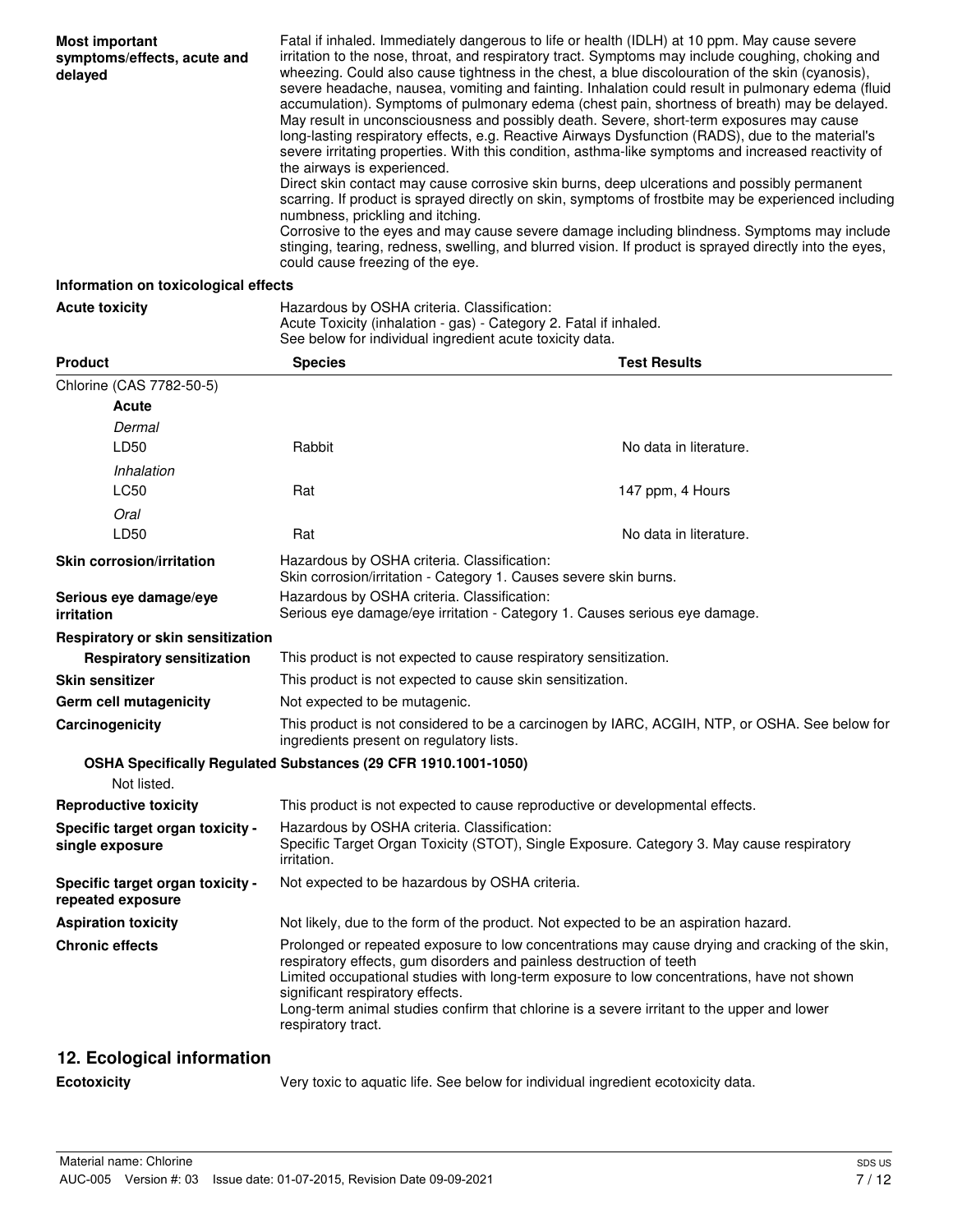| <b>Most important</b><br>symptoms/effects, acute and<br>delayed | Fatal if inhaled. Immediately dangerous to life or health (IDLH) at 10 ppm. May cause severe<br>irritation to the nose, throat, and respiratory tract. Symptoms may include coughing, choking and<br>wheezing. Could also cause tightness in the chest, a blue discolouration of the skin (cyanosis),<br>severe headache, nausea, vomiting and fainting. Inhalation could result in pulmonary edema (fluid<br>accumulation). Symptoms of pulmonary edema (chest pain, shortness of breath) may be delayed.<br>May result in unconsciousness and possibly death. Severe, short-term exposures may cause<br>long-lasting respiratory effects, e.g. Reactive Airways Dysfunction (RADS), due to the material's<br>severe irritating properties. With this condition, asthma-like symptoms and increased reactivity of<br>the airways is experienced.<br>Direct skin contact may cause corrosive skin burns, deep ulcerations and possibly permanent<br>scarring. If product is sprayed directly on skin, symptoms of frostbite may be experienced including<br>numbness, prickling and itching. |
|-----------------------------------------------------------------|----------------------------------------------------------------------------------------------------------------------------------------------------------------------------------------------------------------------------------------------------------------------------------------------------------------------------------------------------------------------------------------------------------------------------------------------------------------------------------------------------------------------------------------------------------------------------------------------------------------------------------------------------------------------------------------------------------------------------------------------------------------------------------------------------------------------------------------------------------------------------------------------------------------------------------------------------------------------------------------------------------------------------------------------------------------------------------------------|
|                                                                 | Corrosive to the eyes and may cause severe damage including blindness. Symptoms may include<br>stinging, tearing, redness, swelling, and blurred vision. If product is sprayed directly into the eyes,<br>could cause freezing of the eye.                                                                                                                                                                                                                                                                                                                                                                                                                                                                                                                                                                                                                                                                                                                                                                                                                                                   |

#### **Information on toxicological effects**

**Acute toxicity Hazardous by OSHA criteria. Classification:** Acute Toxicity (inhalation - gas) - Category 2. Fatal if inhaled.

|                                                       | See below for individual ingredient acute toxicity data.                                                                                                                                                                                                                                                                                                                                                                      |                        |  |
|-------------------------------------------------------|-------------------------------------------------------------------------------------------------------------------------------------------------------------------------------------------------------------------------------------------------------------------------------------------------------------------------------------------------------------------------------------------------------------------------------|------------------------|--|
| <b>Product</b>                                        | <b>Species</b>                                                                                                                                                                                                                                                                                                                                                                                                                | <b>Test Results</b>    |  |
| Chlorine (CAS 7782-50-5)                              |                                                                                                                                                                                                                                                                                                                                                                                                                               |                        |  |
| Acute                                                 |                                                                                                                                                                                                                                                                                                                                                                                                                               |                        |  |
| Dermal                                                |                                                                                                                                                                                                                                                                                                                                                                                                                               |                        |  |
| LD50                                                  | Rabbit                                                                                                                                                                                                                                                                                                                                                                                                                        | No data in literature. |  |
| Inhalation                                            |                                                                                                                                                                                                                                                                                                                                                                                                                               |                        |  |
| <b>LC50</b>                                           | Rat                                                                                                                                                                                                                                                                                                                                                                                                                           | 147 ppm, 4 Hours       |  |
| Oral                                                  |                                                                                                                                                                                                                                                                                                                                                                                                                               |                        |  |
| LD50                                                  | Rat                                                                                                                                                                                                                                                                                                                                                                                                                           | No data in literature. |  |
| <b>Skin corrosion/irritation</b>                      | Hazardous by OSHA criteria. Classification:<br>Skin corrosion/irritation - Category 1. Causes severe skin burns.                                                                                                                                                                                                                                                                                                              |                        |  |
| Serious eye damage/eye<br><i>irritation</i>           | Hazardous by OSHA criteria. Classification:<br>Serious eye damage/eye irritation - Category 1. Causes serious eye damage.                                                                                                                                                                                                                                                                                                     |                        |  |
| Respiratory or skin sensitization                     |                                                                                                                                                                                                                                                                                                                                                                                                                               |                        |  |
| <b>Respiratory sensitization</b>                      | This product is not expected to cause respiratory sensitization.                                                                                                                                                                                                                                                                                                                                                              |                        |  |
| <b>Skin sensitizer</b>                                | This product is not expected to cause skin sensitization.                                                                                                                                                                                                                                                                                                                                                                     |                        |  |
| <b>Germ cell mutagenicity</b>                         | Not expected to be mutagenic.                                                                                                                                                                                                                                                                                                                                                                                                 |                        |  |
| Carcinogenicity                                       | This product is not considered to be a carcinogen by IARC, ACGIH, NTP, or OSHA. See below for<br>ingredients present on regulatory lists.                                                                                                                                                                                                                                                                                     |                        |  |
|                                                       | OSHA Specifically Regulated Substances (29 CFR 1910.1001-1050)                                                                                                                                                                                                                                                                                                                                                                |                        |  |
| Not listed.                                           |                                                                                                                                                                                                                                                                                                                                                                                                                               |                        |  |
| <b>Reproductive toxicity</b>                          | This product is not expected to cause reproductive or developmental effects.                                                                                                                                                                                                                                                                                                                                                  |                        |  |
| Specific target organ toxicity -<br>single exposure   | Hazardous by OSHA criteria. Classification:<br>Specific Target Organ Toxicity (STOT), Single Exposure. Category 3. May cause respiratory<br>irritation.                                                                                                                                                                                                                                                                       |                        |  |
| Specific target organ toxicity -<br>repeated exposure | Not expected to be hazardous by OSHA criteria.                                                                                                                                                                                                                                                                                                                                                                                |                        |  |
| <b>Aspiration toxicity</b>                            | Not likely, due to the form of the product. Not expected to be an aspiration hazard.                                                                                                                                                                                                                                                                                                                                          |                        |  |
| <b>Chronic effects</b>                                | Prolonged or repeated exposure to low concentrations may cause drying and cracking of the skin,<br>respiratory effects, gum disorders and painless destruction of teeth<br>Limited occupational studies with long-term exposure to low concentrations, have not shown<br>significant respiratory effects.<br>Long-term animal studies confirm that chlorine is a severe irritant to the upper and lower<br>respiratory tract. |                        |  |

## **12. Ecological information**

**Ecotoxicity** Very toxic to aquatic life. See below for individual ingredient ecotoxicity data.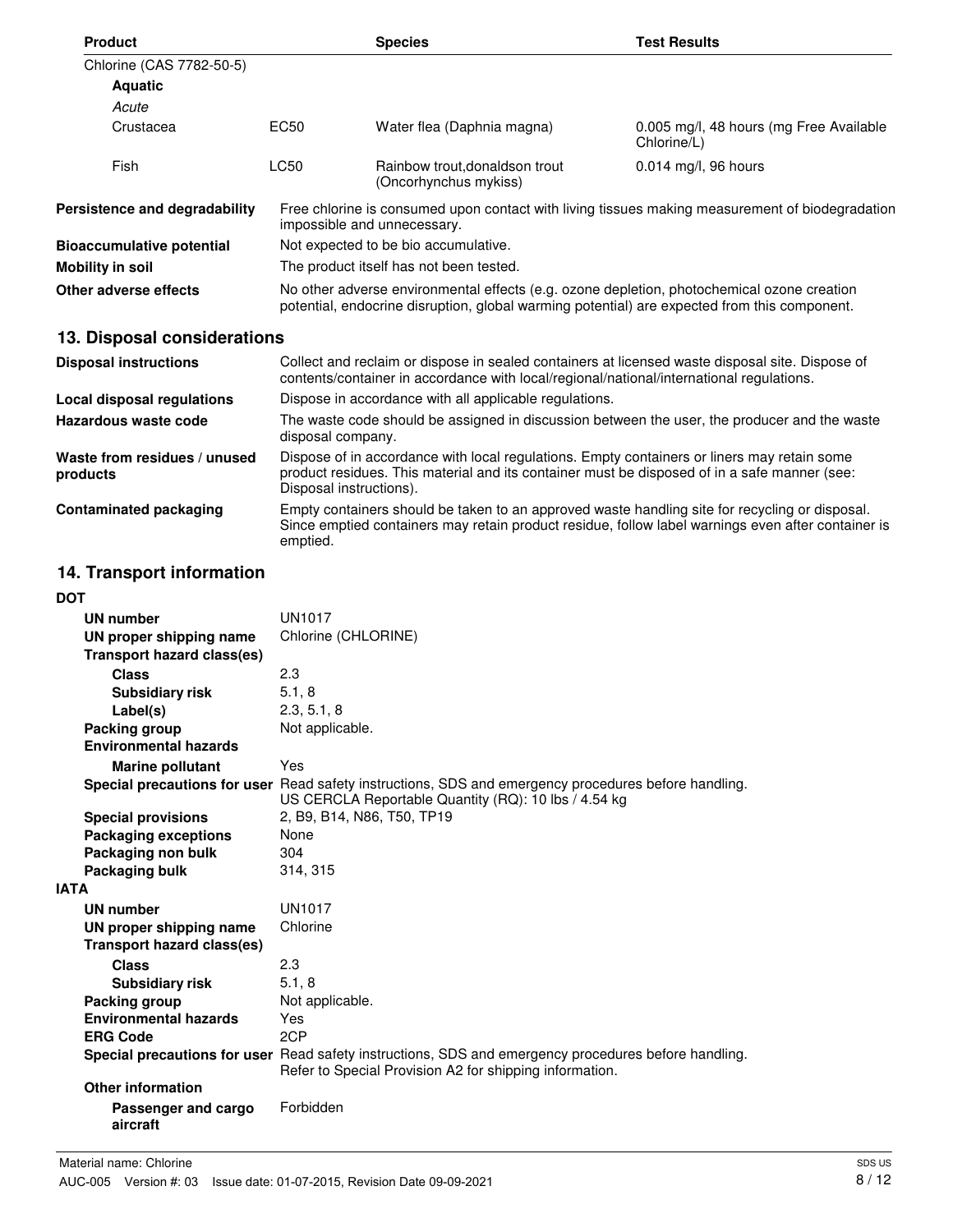| <b>Product</b>                           |                                                                                                                                                                                                                        | <b>Species</b>                                          | <b>Test Results</b>                                    |  |
|------------------------------------------|------------------------------------------------------------------------------------------------------------------------------------------------------------------------------------------------------------------------|---------------------------------------------------------|--------------------------------------------------------|--|
| Chlorine (CAS 7782-50-5)                 |                                                                                                                                                                                                                        |                                                         |                                                        |  |
| <b>Aquatic</b>                           |                                                                                                                                                                                                                        |                                                         |                                                        |  |
| Acute                                    |                                                                                                                                                                                                                        |                                                         |                                                        |  |
| Crustacea                                | EC50                                                                                                                                                                                                                   | Water flea (Daphnia magna)                              | 0.005 mg/l, 48 hours (mg Free Available<br>Chlorine/L) |  |
| Fish                                     | <b>LC50</b>                                                                                                                                                                                                            | Rainbow trout, donaldson trout<br>(Oncorhynchus mykiss) | 0.014 mg/l, 96 hours                                   |  |
| Persistence and degradability            | Free chlorine is consumed upon contact with living tissues making measurement of biodegradation<br>impossible and unnecessary.                                                                                         |                                                         |                                                        |  |
| <b>Bioaccumulative potential</b>         | Not expected to be bio accumulative.                                                                                                                                                                                   |                                                         |                                                        |  |
| <b>Mobility in soil</b>                  | The product itself has not been tested.                                                                                                                                                                                |                                                         |                                                        |  |
| Other adverse effects                    | No other adverse environmental effects (e.g. ozone depletion, photochemical ozone creation<br>potential, endocrine disruption, global warming potential) are expected from this component.                             |                                                         |                                                        |  |
| 13. Disposal considerations              |                                                                                                                                                                                                                        |                                                         |                                                        |  |
| <b>Disposal instructions</b>             | Collect and reclaim or dispose in sealed containers at licensed waste disposal site. Dispose of<br>contents/container in accordance with local/regional/national/international regulations.                            |                                                         |                                                        |  |
| Local disposal regulations               | Dispose in accordance with all applicable regulations.                                                                                                                                                                 |                                                         |                                                        |  |
| Hazardous waste code                     | The waste code should be assigned in discussion between the user, the producer and the waste<br>disposal company.                                                                                                      |                                                         |                                                        |  |
| Waste from residues / unused<br>products | Dispose of in accordance with local regulations. Empty containers or liners may retain some<br>product residues. This material and its container must be disposed of in a safe manner (see:<br>Disposal instructions). |                                                         |                                                        |  |

**Contaminated packaging** Empty containers should be taken to an approved waste handling site for recycling or disposal. Since emptied containers may retain product residue, follow label warnings even after container is emptied.

## **14. Transport information**

| <b>DOT</b>                        |                                                                                                                                                                 |
|-----------------------------------|-----------------------------------------------------------------------------------------------------------------------------------------------------------------|
| <b>UN number</b>                  | <b>UN1017</b>                                                                                                                                                   |
| UN proper shipping name           | Chlorine (CHLORINE)                                                                                                                                             |
| <b>Transport hazard class(es)</b> |                                                                                                                                                                 |
| Class                             | 2.3                                                                                                                                                             |
| <b>Subsidiary risk</b>            | 5.1, 8                                                                                                                                                          |
| Label(s)                          | 2.3, 5.1, 8                                                                                                                                                     |
| Packing group                     | Not applicable.                                                                                                                                                 |
| <b>Environmental hazards</b>      |                                                                                                                                                                 |
| <b>Marine pollutant</b>           | Yes                                                                                                                                                             |
|                                   | Special precautions for user Read safety instructions, SDS and emergency procedures before handling.<br>US CERCLA Reportable Quantity (RQ): 10 lbs / 4.54 kg    |
| <b>Special provisions</b>         | 2, B9, B14, N86, T50, TP19                                                                                                                                      |
| <b>Packaging exceptions</b>       | None                                                                                                                                                            |
| Packaging non bulk                | 304                                                                                                                                                             |
| Packaging bulk                    | 314, 315                                                                                                                                                        |
| <b>IATA</b>                       |                                                                                                                                                                 |
| <b>UN number</b>                  | <b>UN1017</b>                                                                                                                                                   |
| UN proper shipping name           | Chlorine                                                                                                                                                        |
| <b>Transport hazard class(es)</b> |                                                                                                                                                                 |
| <b>Class</b>                      | 2.3                                                                                                                                                             |
| <b>Subsidiary risk</b>            | 5.1, 8                                                                                                                                                          |
| Packing group                     | Not applicable.                                                                                                                                                 |
| <b>Environmental hazards</b>      | Yes                                                                                                                                                             |
| <b>ERG Code</b>                   | 2CP                                                                                                                                                             |
|                                   | Special precautions for user Read safety instructions, SDS and emergency procedures before handling.<br>Refer to Special Provision A2 for shipping information. |
| <b>Other information</b>          |                                                                                                                                                                 |
| Passenger and cargo<br>aircraft   | Forbidden                                                                                                                                                       |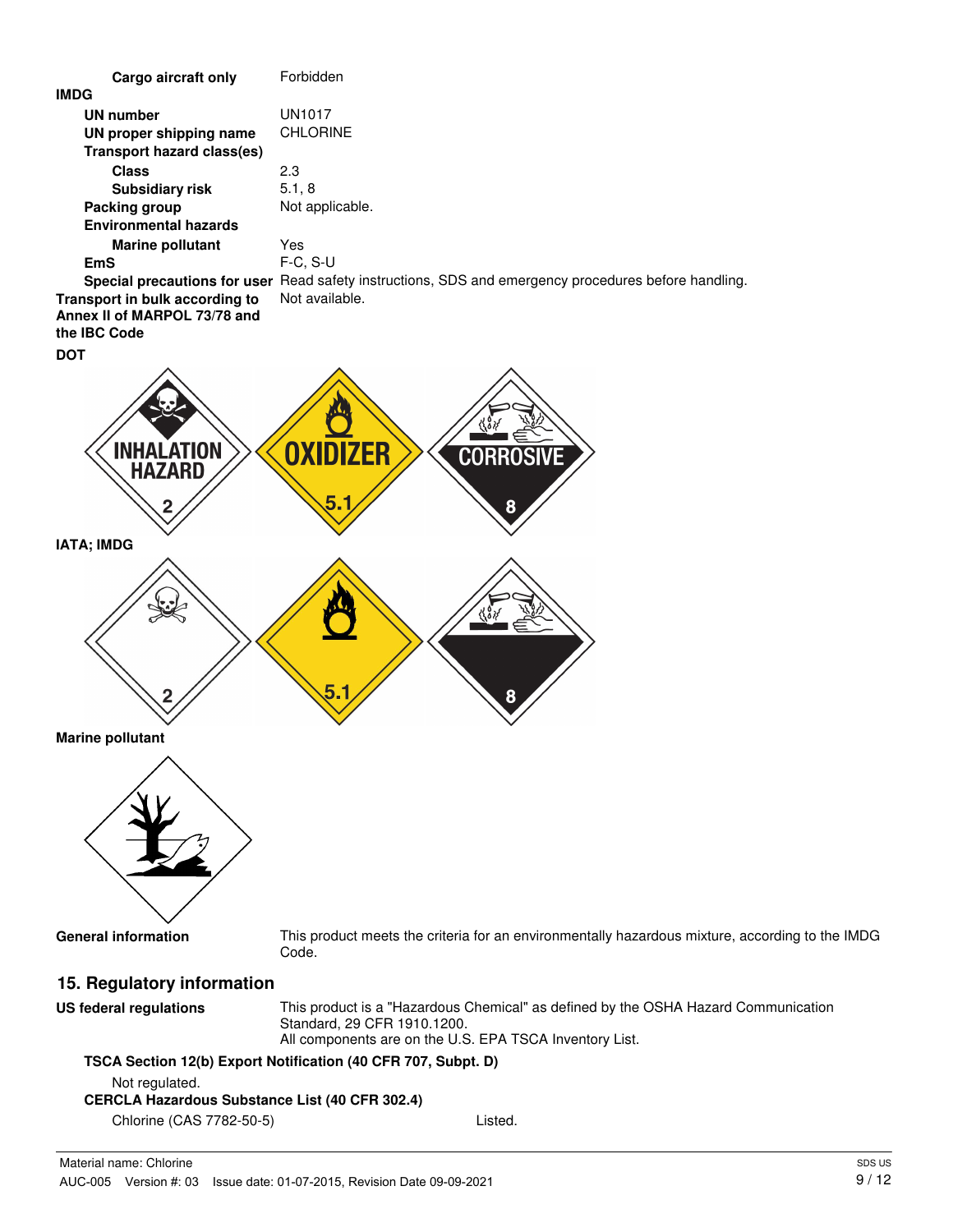

## **TSCA Section 12(b) Export Notification (40 CFR 707, Subpt. D)**

Not regulated.

#### **CERCLA Hazardous Substance List (40 CFR 302.4)**

Chlorine (CAS 7782-50-5) Listed.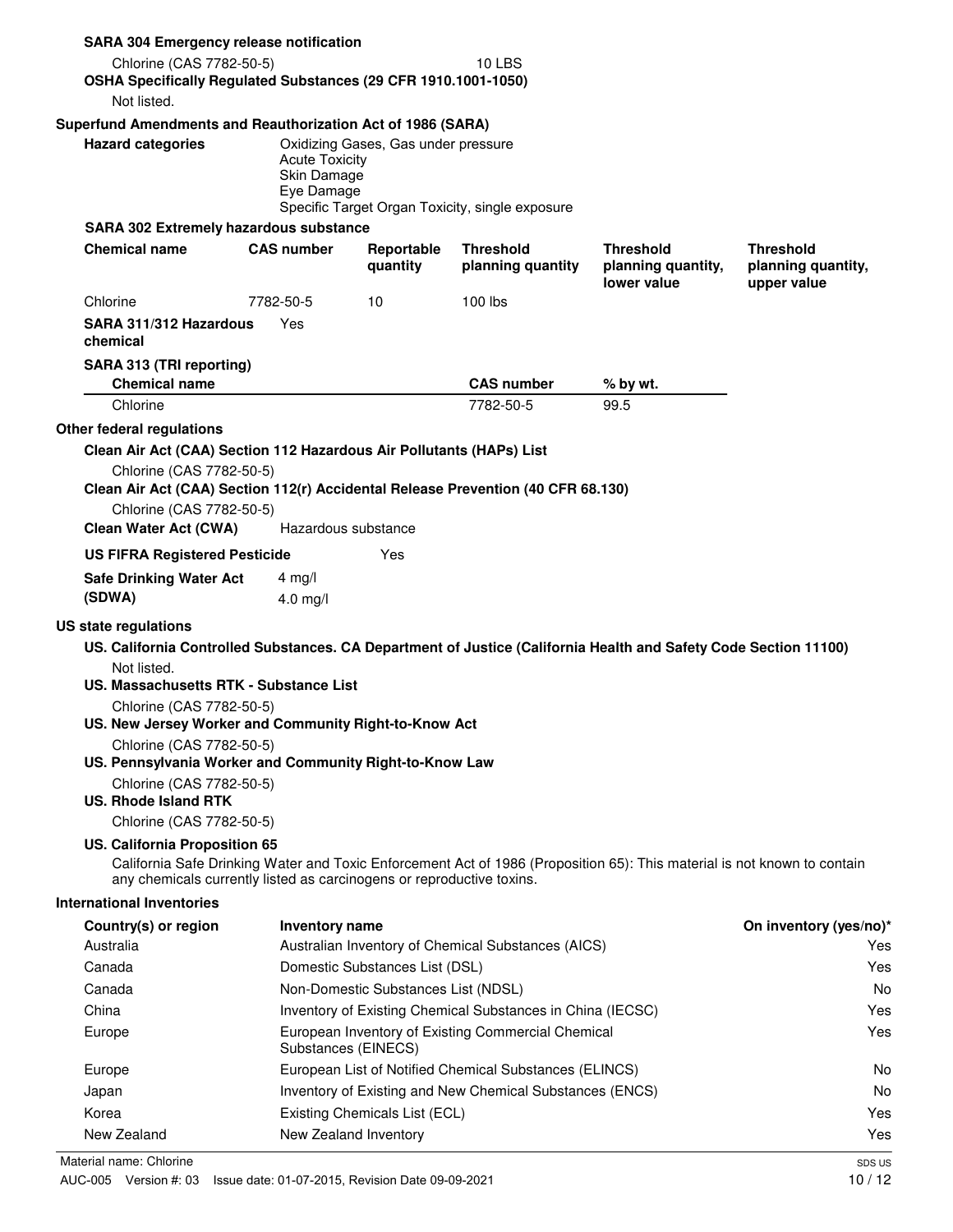| <b>SARA 304 Emergency release notification</b>                                                                   |                                                    |                                     |                                                            |                                                                                                                          |                                                       |
|------------------------------------------------------------------------------------------------------------------|----------------------------------------------------|-------------------------------------|------------------------------------------------------------|--------------------------------------------------------------------------------------------------------------------------|-------------------------------------------------------|
| Chlorine (CAS 7782-50-5)                                                                                         |                                                    |                                     | <b>10 LBS</b>                                              |                                                                                                                          |                                                       |
| OSHA Specifically Regulated Substances (29 CFR 1910.1001-1050)<br>Not listed.                                    |                                                    |                                     |                                                            |                                                                                                                          |                                                       |
| Superfund Amendments and Reauthorization Act of 1986 (SARA)                                                      |                                                    |                                     |                                                            |                                                                                                                          |                                                       |
| <b>Hazard categories</b>                                                                                         | <b>Acute Toxicity</b><br>Skin Damage<br>Eye Damage | Oxidizing Gases, Gas under pressure | Specific Target Organ Toxicity, single exposure            |                                                                                                                          |                                                       |
| <b>SARA 302 Extremely hazardous substance</b>                                                                    |                                                    |                                     |                                                            |                                                                                                                          |                                                       |
| <b>Chemical name</b>                                                                                             | <b>CAS number</b>                                  | Reportable<br>quantity              | <b>Threshold</b><br>planning quantity                      | <b>Threshold</b><br>planning quantity,<br>lower value                                                                    | <b>Threshold</b><br>planning quantity,<br>upper value |
| Chlorine                                                                                                         | 7782-50-5                                          | 10                                  | 100 lbs                                                    |                                                                                                                          |                                                       |
| SARA 311/312 Hazardous<br>chemical                                                                               | Yes                                                |                                     |                                                            |                                                                                                                          |                                                       |
| SARA 313 (TRI reporting)<br><b>Chemical name</b>                                                                 |                                                    |                                     | <b>CAS number</b>                                          | % by wt.                                                                                                                 |                                                       |
| Chlorine                                                                                                         |                                                    |                                     | 7782-50-5                                                  | 99.5                                                                                                                     |                                                       |
| Chlorine (CAS 7782-50-5)<br>Clean Air Act (CAA) Section 112(r) Accidental Release Prevention (40 CFR 68.130)     |                                                    |                                     |                                                            |                                                                                                                          |                                                       |
| Chlorine (CAS 7782-50-5)<br><b>Clean Water Act (CWA)</b>                                                         |                                                    | Hazardous substance                 |                                                            |                                                                                                                          |                                                       |
|                                                                                                                  |                                                    | Yes                                 |                                                            |                                                                                                                          |                                                       |
| <b>US FIFRA Registered Pesticide</b><br><b>Safe Drinking Water Act</b><br>(SDWA)                                 | 4 mg/l<br>$4.0$ mg/l                               |                                     |                                                            |                                                                                                                          |                                                       |
|                                                                                                                  |                                                    |                                     |                                                            |                                                                                                                          |                                                       |
| US. California Controlled Substances. CA Department of Justice (California Health and Safety Code Section 11100) |                                                    |                                     |                                                            |                                                                                                                          |                                                       |
| Not listed.<br>US. Massachusetts RTK - Substance List                                                            |                                                    |                                     |                                                            |                                                                                                                          |                                                       |
| Chlorine (CAS 7782-50-5)<br>US. New Jersey Worker and Community Right-to-Know Act                                |                                                    |                                     |                                                            |                                                                                                                          |                                                       |
| Chlorine (CAS 7782-50-5)<br>US. Pennsylvania Worker and Community Right-to-Know Law                              |                                                    |                                     |                                                            |                                                                                                                          |                                                       |
| Chlorine (CAS 7782-50-5)<br><b>US. Rhode Island RTK</b>                                                          |                                                    |                                     |                                                            |                                                                                                                          |                                                       |
| Chlorine (CAS 7782-50-5)                                                                                         |                                                    |                                     |                                                            |                                                                                                                          |                                                       |
| US. California Proposition 65<br>any chemicals currently listed as carcinogens or reproductive toxins.           |                                                    |                                     |                                                            | California Safe Drinking Water and Toxic Enforcement Act of 1986 (Proposition 65): This material is not known to contain |                                                       |
|                                                                                                                  |                                                    |                                     |                                                            |                                                                                                                          |                                                       |
| Country(s) or region                                                                                             | Inventory name                                     |                                     |                                                            |                                                                                                                          | On inventory (yes/no)*                                |
| Australia                                                                                                        |                                                    |                                     | Australian Inventory of Chemical Substances (AICS)         |                                                                                                                          | Yes                                                   |
| Canada                                                                                                           |                                                    | Domestic Substances List (DSL)      |                                                            |                                                                                                                          | Yes                                                   |
| Canada                                                                                                           |                                                    | Non-Domestic Substances List (NDSL) |                                                            |                                                                                                                          | No.                                                   |
| China                                                                                                            |                                                    |                                     | Inventory of Existing Chemical Substances in China (IECSC) |                                                                                                                          |                                                       |
| Europe                                                                                                           |                                                    | Substances (EINECS)                 | European Inventory of Existing Commercial Chemical         |                                                                                                                          | Yes<br>Yes                                            |
| Europe                                                                                                           |                                                    |                                     | European List of Notified Chemical Substances (ELINCS)     |                                                                                                                          | No.                                                   |
| US state regulations<br>International Inventories<br>Japan                                                       |                                                    |                                     | Inventory of Existing and New Chemical Substances (ENCS)   |                                                                                                                          | No                                                    |
| Korea                                                                                                            |                                                    | Existing Chemicals List (ECL)       |                                                            |                                                                                                                          | Yes                                                   |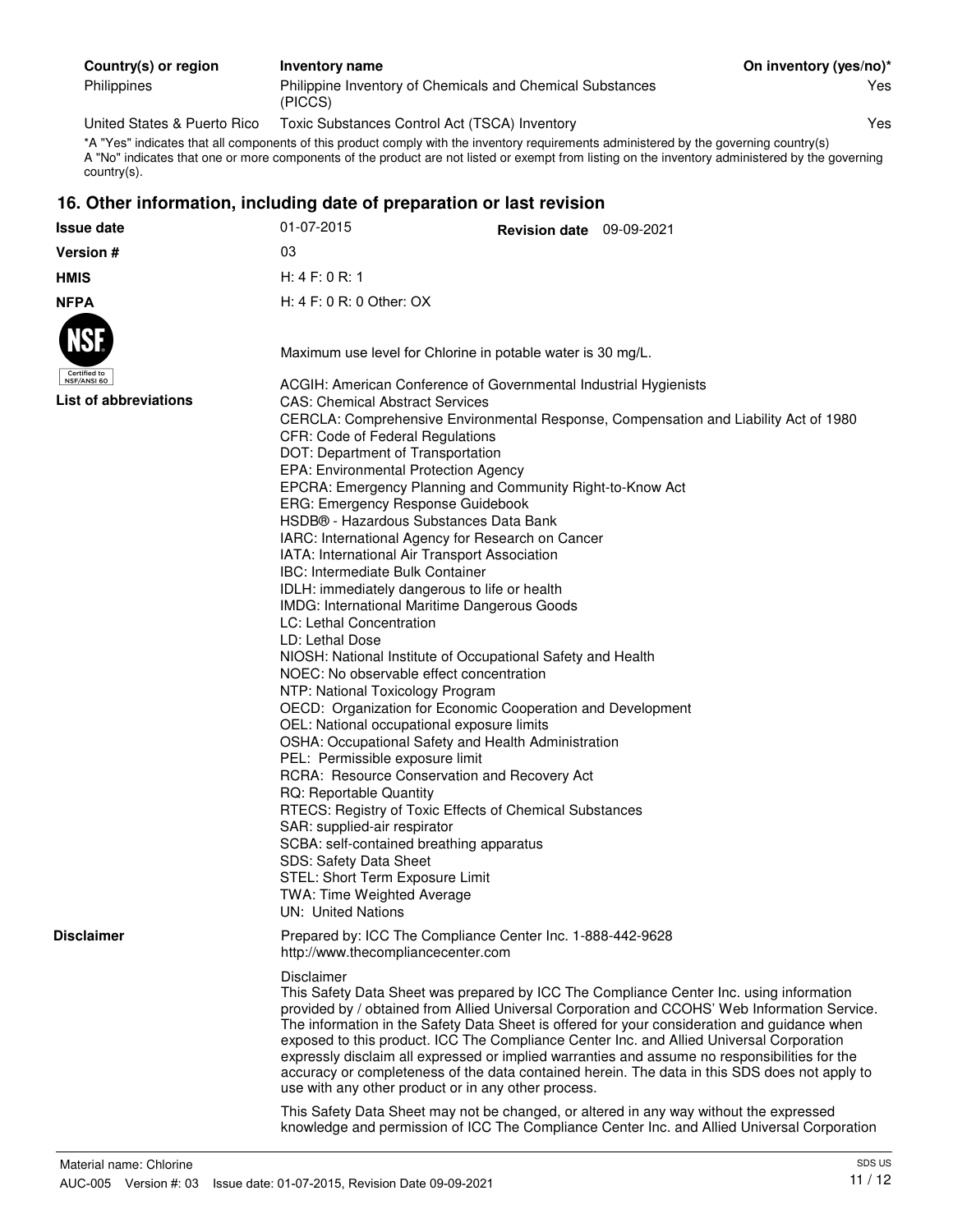| Country(s) or region | Inventory name                                                       | On inventory (yes/no)* |
|----------------------|----------------------------------------------------------------------|------------------------|
| Philippines          | Philippine Inventory of Chemicals and Chemical Substances<br>(PICCS) | Yes                    |

United States & Puerto Rico Toxic Substances Control Act (TSCA) Inventory Yes

\*A "Yes" indicates that all components of this product comply with the inventory requirements administered by the governing country(s) A "No" indicates that one or more components of the product are not listed or exempt from listing on the inventory administered by the governing country(s).

#### **16. Other information, including date of preparation or last revision**

| <b>Issue date</b>                                    | 01-07-2015                                                                                                                                                                                                                                                                                                                                                                                                                                                                                                                                                                                                                                                 | Revision date 09-09-2021                                                                                                                                                                                                                                                                                                                                                                                                                                                                                                                                                                                   |                                                                                                                                                                                       |  |
|------------------------------------------------------|------------------------------------------------------------------------------------------------------------------------------------------------------------------------------------------------------------------------------------------------------------------------------------------------------------------------------------------------------------------------------------------------------------------------------------------------------------------------------------------------------------------------------------------------------------------------------------------------------------------------------------------------------------|------------------------------------------------------------------------------------------------------------------------------------------------------------------------------------------------------------------------------------------------------------------------------------------------------------------------------------------------------------------------------------------------------------------------------------------------------------------------------------------------------------------------------------------------------------------------------------------------------------|---------------------------------------------------------------------------------------------------------------------------------------------------------------------------------------|--|
| Version #                                            | 03                                                                                                                                                                                                                                                                                                                                                                                                                                                                                                                                                                                                                                                         |                                                                                                                                                                                                                                                                                                                                                                                                                                                                                                                                                                                                            |                                                                                                                                                                                       |  |
| <b>HMIS</b>                                          | H: 4 F: 0 R: 1                                                                                                                                                                                                                                                                                                                                                                                                                                                                                                                                                                                                                                             |                                                                                                                                                                                                                                                                                                                                                                                                                                                                                                                                                                                                            |                                                                                                                                                                                       |  |
| <b>NFPA</b>                                          | H: $4 F: 0 R: 0 Other: OX$                                                                                                                                                                                                                                                                                                                                                                                                                                                                                                                                                                                                                                 |                                                                                                                                                                                                                                                                                                                                                                                                                                                                                                                                                                                                            |                                                                                                                                                                                       |  |
| Certified to<br>NSF/ANSI 60<br>List of abbreviations |                                                                                                                                                                                                                                                                                                                                                                                                                                                                                                                                                                                                                                                            | Maximum use level for Chlorine in potable water is 30 mg/L.<br>ACGIH: American Conference of Governmental Industrial Hygienists<br><b>CAS: Chemical Abstract Services</b>                                                                                                                                                                                                                                                                                                                                                                                                                                  |                                                                                                                                                                                       |  |
|                                                      | CFR: Code of Federal Regulations<br>DOT: Department of Transportation<br>EPA: Environmental Protection Agency<br><b>ERG: Emergency Response Guidebook</b><br><b>IBC: Intermediate Bulk Container</b><br>LC: Lethal Concentration<br>LD: Lethal Dose<br>NOEC: No observable effect concentration<br>NTP: National Toxicology Program<br>OEL: National occupational exposure limits<br>PEL: Permissible exposure limit<br>RQ: Reportable Quantity<br>SAR: supplied-air respirator<br>SCBA: self-contained breathing apparatus<br>SDS: Safety Data Sheet<br>STEL: Short Term Exposure Limit<br>TWA: Time Weighted Average<br><b>UN: United Nations</b>        | EPCRA: Emergency Planning and Community Right-to-Know Act<br>HSDB® - Hazardous Substances Data Bank<br>IARC: International Agency for Research on Cancer<br>IATA: International Air Transport Association<br>IDLH: immediately dangerous to life or health<br>IMDG: International Maritime Dangerous Goods<br>NIOSH: National Institute of Occupational Safety and Health<br>OECD: Organization for Economic Cooperation and Development<br>OSHA: Occupational Safety and Health Administration<br>RCRA: Resource Conservation and Recovery Act<br>RTECS: Registry of Toxic Effects of Chemical Substances | CERCLA: Comprehensive Environmental Response, Compensation and Liability Act of 1980                                                                                                  |  |
| <b>Disclaimer</b>                                    | http://www.thecompliancecenter.com                                                                                                                                                                                                                                                                                                                                                                                                                                                                                                                                                                                                                         | Prepared by: ICC The Compliance Center Inc. 1-888-442-9628                                                                                                                                                                                                                                                                                                                                                                                                                                                                                                                                                 |                                                                                                                                                                                       |  |
|                                                      | Disclaimer<br>This Safety Data Sheet was prepared by ICC The Compliance Center Inc. using information<br>provided by / obtained from Allied Universal Corporation and CCOHS' Web Information Service.<br>The information in the Safety Data Sheet is offered for your consideration and guidance when<br>exposed to this product. ICC The Compliance Center Inc. and Allied Universal Corporation<br>expressly disclaim all expressed or implied warranties and assume no responsibilities for the<br>accuracy or completeness of the data contained herein. The data in this SDS does not apply to<br>use with any other product or in any other process. |                                                                                                                                                                                                                                                                                                                                                                                                                                                                                                                                                                                                            |                                                                                                                                                                                       |  |
|                                                      |                                                                                                                                                                                                                                                                                                                                                                                                                                                                                                                                                                                                                                                            |                                                                                                                                                                                                                                                                                                                                                                                                                                                                                                                                                                                                            | This Safety Data Sheet may not be changed, or altered in any way without the expressed<br>knowledge and permission of ICC The Compliance Center Inc. and Allied Universal Corporation |  |